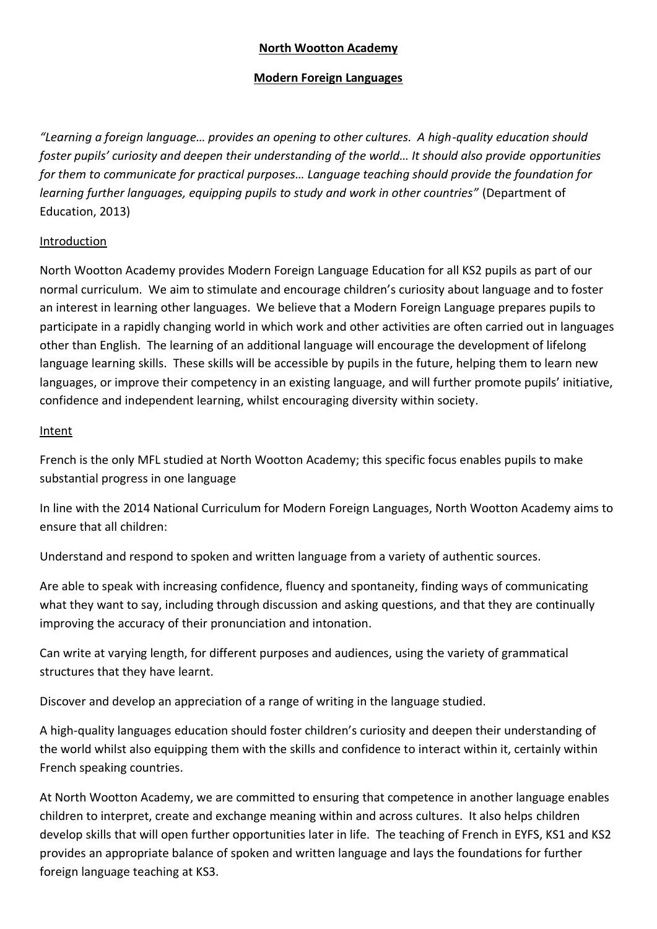# **North Wootton Academy**

## **Modern Foreign Languages**

*"Learning a foreign language… provides an opening to other cultures. A high-quality education should foster pupils' curiosity and deepen their understanding of the world... It should also provide opportunities for them to communicate for practical purposes… Language teaching should provide the foundation for learning further languages, equipping pupils to study and work in other countries"* (Department of Education, 2013)

# Introduction

North Wootton Academy provides Modern Foreign Language Education for all KS2 pupils as part of our normal curriculum. We aim to stimulate and encourage children's curiosity about language and to foster an interest in learning other languages. We believe that a Modern Foreign Language prepares pupils to participate in a rapidly changing world in which work and other activities are often carried out in languages other than English. The learning of an additional language will encourage the development of lifelong language learning skills. These skills will be accessible by pupils in the future, helping them to learn new languages, or improve their competency in an existing language, and will further promote pupils' initiative, confidence and independent learning, whilst encouraging diversity within society.

## Intent

French is the only MFL studied at North Wootton Academy; this specific focus enables pupils to make substantial progress in one language

In line with the 2014 National Curriculum for Modern Foreign Languages, North Wootton Academy aims to ensure that all children:

Understand and respond to spoken and written language from a variety of authentic sources.

Are able to speak with increasing confidence, fluency and spontaneity, finding ways of communicating what they want to say, including through discussion and asking questions, and that they are continually improving the accuracy of their pronunciation and intonation.

Can write at varying length, for different purposes and audiences, using the variety of grammatical structures that they have learnt.

Discover and develop an appreciation of a range of writing in the language studied.

A high-quality languages education should foster children's curiosity and deepen their understanding of the world whilst also equipping them with the skills and confidence to interact within it, certainly within French speaking countries.

At North Wootton Academy, we are committed to ensuring that competence in another language enables children to interpret, create and exchange meaning within and across cultures. It also helps children develop skills that will open further opportunities later in life. The teaching of French in EYFS, KS1 and KS2 provides an appropriate balance of spoken and written language and lays the foundations for further foreign language teaching at KS3.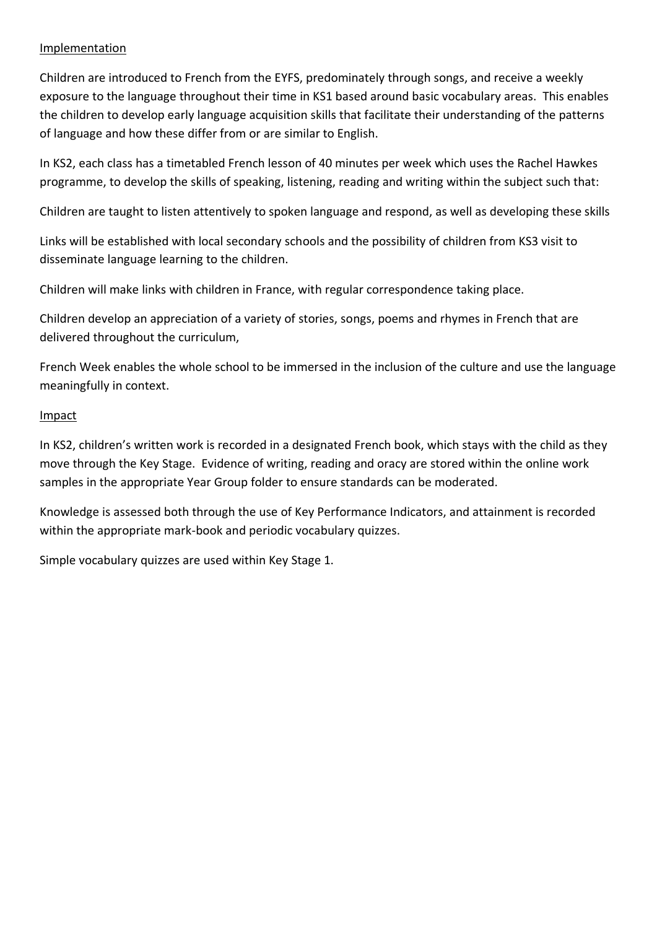#### Implementation

Children are introduced to French from the EYFS, predominately through songs, and receive a weekly exposure to the language throughout their time in KS1 based around basic vocabulary areas. This enables the children to develop early language acquisition skills that facilitate their understanding of the patterns of language and how these differ from or are similar to English.

In KS2, each class has a timetabled French lesson of 40 minutes per week which uses the Rachel Hawkes programme, to develop the skills of speaking, listening, reading and writing within the subject such that:

Children are taught to listen attentively to spoken language and respond, as well as developing these skills

Links will be established with local secondary schools and the possibility of children from KS3 visit to disseminate language learning to the children.

Children will make links with children in France, with regular correspondence taking place.

Children develop an appreciation of a variety of stories, songs, poems and rhymes in French that are delivered throughout the curriculum,

French Week enables the whole school to be immersed in the inclusion of the culture and use the language meaningfully in context.

### Impact

In KS2, children's written work is recorded in a designated French book, which stays with the child as they move through the Key Stage. Evidence of writing, reading and oracy are stored within the online work samples in the appropriate Year Group folder to ensure standards can be moderated.

Knowledge is assessed both through the use of Key Performance Indicators, and attainment is recorded within the appropriate mark-book and periodic vocabulary quizzes.

Simple vocabulary quizzes are used within Key Stage 1.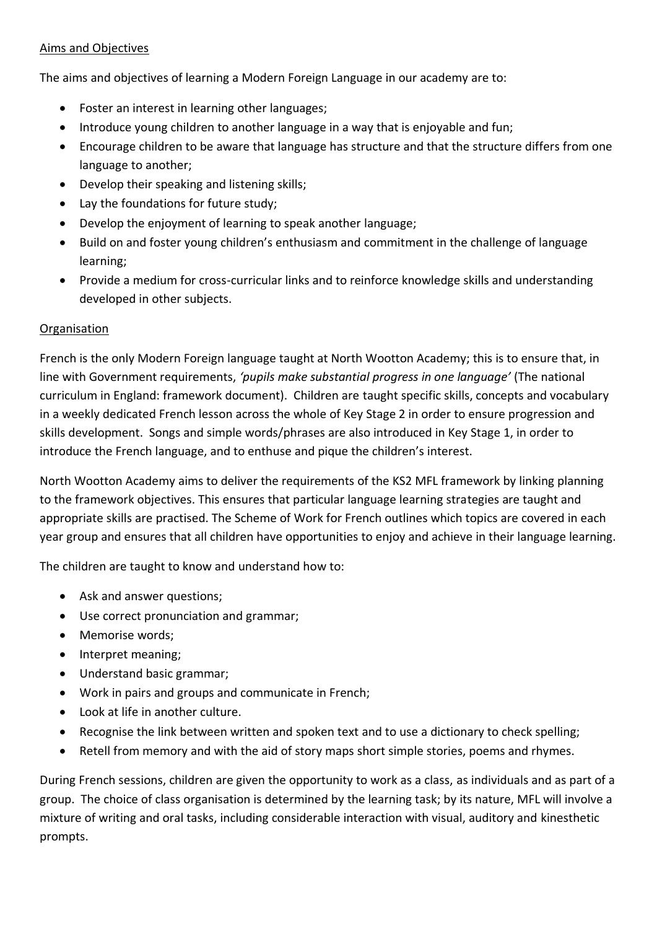## Aims and Objectives

The aims and objectives of learning a Modern Foreign Language in our academy are to:

- Foster an interest in learning other languages;
- Introduce young children to another language in a way that is enjoyable and fun;
- Encourage children to be aware that language has structure and that the structure differs from one language to another;
- Develop their speaking and listening skills;
- Lay the foundations for future study;
- Develop the enjoyment of learning to speak another language;
- Build on and foster young children's enthusiasm and commitment in the challenge of language learning;
- Provide a medium for cross-curricular links and to reinforce knowledge skills and understanding developed in other subjects.

# **Organisation**

French is the only Modern Foreign language taught at North Wootton Academy; this is to ensure that, in line with Government requirements, *'pupils make substantial progress in one language'* (The national curriculum in England: framework document). Children are taught specific skills, concepts and vocabulary in a weekly dedicated French lesson across the whole of Key Stage 2 in order to ensure progression and skills development. Songs and simple words/phrases are also introduced in Key Stage 1, in order to introduce the French language, and to enthuse and pique the children's interest.

North Wootton Academy aims to deliver the requirements of the KS2 MFL framework by linking planning to the framework objectives. This ensures that particular language learning strategies are taught and appropriate skills are practised. The Scheme of Work for French outlines which topics are covered in each year group and ensures that all children have opportunities to enjoy and achieve in their language learning.

The children are taught to know and understand how to:

- Ask and answer questions;
- Use correct pronunciation and grammar;
- Memorise words:
- Interpret meaning;
- Understand basic grammar;
- Work in pairs and groups and communicate in French;
- Look at life in another culture.
- Recognise the link between written and spoken text and to use a dictionary to check spelling;
- Retell from memory and with the aid of story maps short simple stories, poems and rhymes.

During French sessions, children are given the opportunity to work as a class, as individuals and as part of a group. The choice of class organisation is determined by the learning task; by its nature, MFL will involve a mixture of writing and oral tasks, including considerable interaction with visual, auditory and kinesthetic prompts.